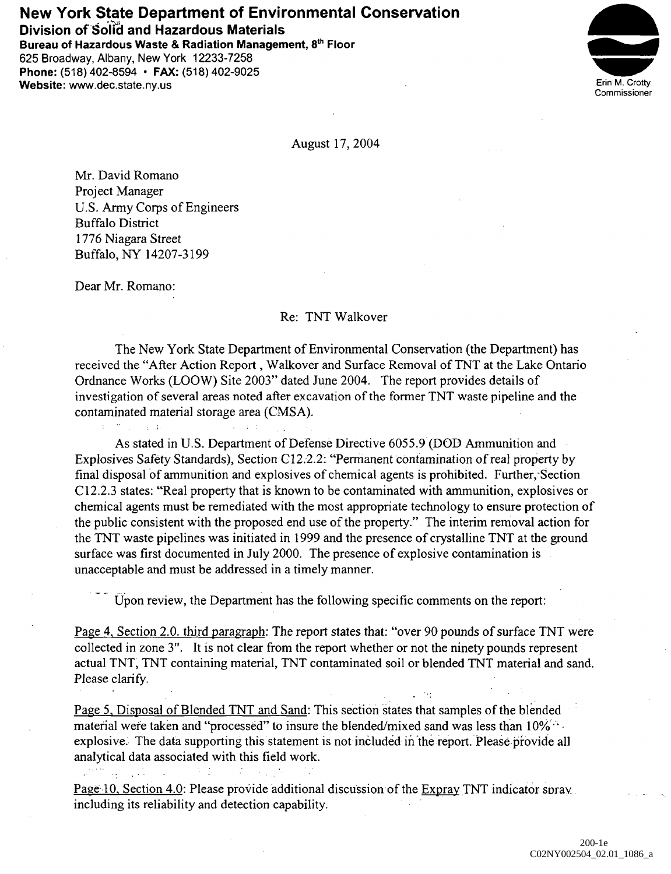## **New York State Department of Environmental Conservation**

**Division of Solid and Hazardous Materials**

**Bureau of Hazardous Waste & Radiation Management, 8th Floor** 625 Broadway, Albany, New York 12233-7258 Phone: (518) 402-8594 • **FAX:** (518) 402-9025 **Website:** www.dec.state.ny.us Erin M. Crotty



August 17, 2004

Mr. David Romano Project Manager U.S. Army Corps of Engineers Buffalo District 1776 Niagara Street Buffalo, NY 14207-3199

Dear Mr. Romano:

 $\pm 1.00$  ,  $\pm 1.00$  ,  $\pm 1.00$ 

 $\mathcal{M}^{\text{eff}}$  and  $\mathcal{M}^{\text{eff}}$  and  $\mathcal{M}^{\text{eff}}$ 

无力

## Re: TNT Walkover

The New York State Department of Environmental Conservation (the Department) has received the "After Action Report, Walkover and Surface Removal of TNT at the Lake Ontario Ordnance Works (LOOW) Site 2003" dated June 2004. The report provides details of investigation of several areas noted after excavation of the former TNT waste pipeline and the contaminated material storage area (CMSA).

As stated in U.S. Department of Defense Directive 6055.9 (DOD Ammunition and Explosives Safety Standards), Section C12.2.2: "Permanent contamination of real property by final disposal of ammunition and explosives of chemical agents is prohibited. Further, Section C12.2.3 states: "Real property that is known to be contaminated with ammunition, explosives or chemical agents must be remediated with the most appropriate technology to ensure protection of the public consistent with the proposed end use of the property." The interim removal action for the TNT waste pipelines was initiated in 1999 and the presence of crystalline TNT at the ground surface was first documented in July 2000. The presence of explosive contamination is unacceptable and must be addressed in a timely manner.

Upon review, the Department has the following specific comments on the report:

Page 4. Section 2.0. third paragraph: The report states that: "over 90 pounds of surface TNT were collected in zone 3". It is not clear from the report whether or not the ninety pounds represent actual TNT, TNT containing material, TNT contaminated soil or blended TNT material and sand. Please clarify.

Page 5, Disposal of Blended TNT and Sand: This section states that samples of the blended material were taken and "processed" to insure the blended/mixed sand was less than 10% explosive. The data supporting this statement is not included in the report. Please provide all analytical data associated with this field work.

Page 10. Section 4.0: Please provide additional discussion of the Expray TNT indicator spray including its reliability and detection capability.